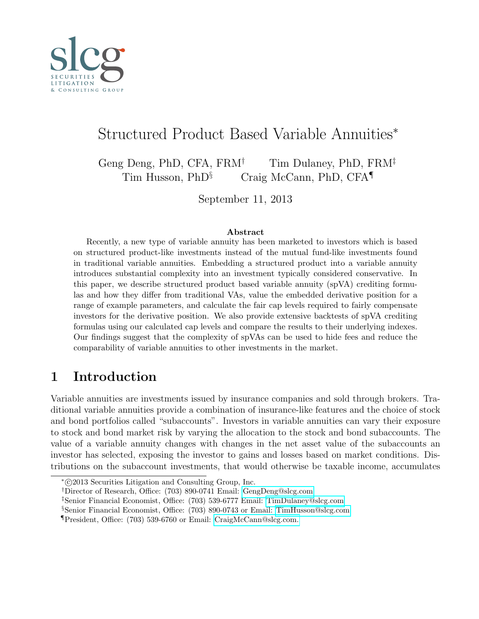<span id="page-0-0"></span>

# Structured Product Based Variable Annuities<sup>∗</sup>

Geng Deng, PhD, CFA,  $FRM^{\dagger}$  Tim Dulaney, PhD,  $FRM^{\dagger}$ Tim Husson, PhD<sup>§</sup> Craig McCann, PhD, CFA<sup>¶</sup>

September 11, 2013

#### Abstract

Recently, a new type of variable annuity has been marketed to investors which is based on structured product-like investments instead of the mutual fund-like investments found in traditional variable annuities. Embedding a structured product into a variable annuity introduces substantial complexity into an investment typically considered conservative. In this paper, we describe structured product based variable annuity (spVA) crediting formulas and how they differ from traditional VAs, value the embedded derivative position for a range of example parameters, and calculate the fair cap levels required to fairly compensate investors for the derivative position. We also provide extensive backtests of spVA crediting formulas using our calculated cap levels and compare the results to their underlying indexes. Our findings suggest that the complexity of spVAs can be used to hide fees and reduce the comparability of variable annuities to other investments in the market.

# 1 Introduction

Variable annuities are investments issued by insurance companies and sold through brokers. Traditional variable annuities provide a combination of insurance-like features and the choice of stock and bond portfolios called "subaccounts". Investors in variable annuities can vary their exposure to stock and bond market risk by varying the allocation to the stock and bond subaccounts. The value of a variable annuity changes with changes in the net asset value of the subaccounts an investor has selected, exposing the investor to gains and losses based on market conditions. Distributions on the subaccount investments, that would otherwise be taxable income, accumulates

<sup>∗</sup> c 2013 Securities Litigation and Consulting Group, Inc.

<sup>†</sup>Director of Research, Office: (703) 890-0741 Email: [GengDeng@slcg.com](mailto:GengDeng@slcg.com)

<sup>‡</sup>Senior Financial Economist, Office: (703) 539-6777 Email: [TimDulaney@slcg.com](mailto:TimDulaney@slcg.com)

<sup>§</sup>Senior Financial Economist, Office: (703) 890-0743 or Email: [TimHusson@slcg.com](mailto:TimHusson@slcg.com)

<sup>¶</sup>President, Office: (703) 539-6760 or Email: [CraigMcCann@slcg.com.](mailto:CraigMcCann@slcg.com)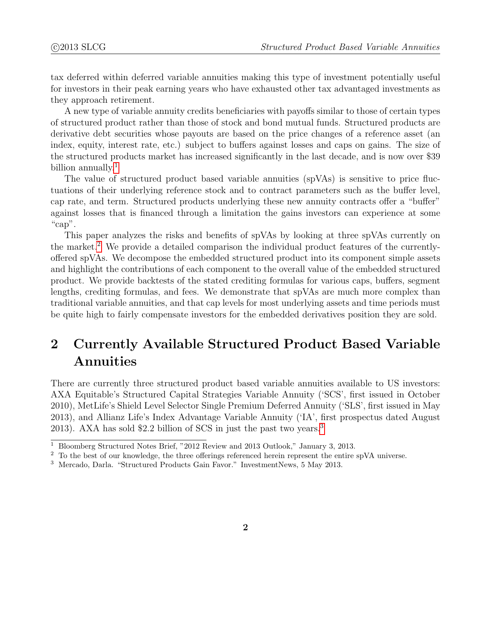tax deferred within deferred variable annuities making this type of investment potentially useful for investors in their peak earning years who have exhausted other tax advantaged investments as they approach retirement.

A new type of variable annuity credits beneficiaries with payoffs similar to those of certain types of structured product rather than those of stock and bond mutual funds. Structured products are derivative debt securities whose payouts are based on the price changes of a reference asset (an index, equity, interest rate, etc.) subject to buffers against losses and caps on gains. The size of the structured products market has increased significantly in the last decade, and is now over \$39 billion annually.<sup>[1](#page-0-0)</sup>

The value of structured product based variable annuities (spVAs) is sensitive to price fluctuations of their underlying reference stock and to contract parameters such as the buffer level, cap rate, and term. Structured products underlying these new annuity contracts offer a "buffer" against losses that is financed through a limitation the gains investors can experience at some "cap".

This paper analyzes the risks and benefits of spVAs by looking at three spVAs currently on the market.<sup>[2](#page-0-0)</sup> We provide a detailed comparison the individual product features of the currentlyoffered spVAs. We decompose the embedded structured product into its component simple assets and highlight the contributions of each component to the overall value of the embedded structured product. We provide backtests of the stated crediting formulas for various caps, buffers, segment lengths, crediting formulas, and fees. We demonstrate that spVAs are much more complex than traditional variable annuities, and that cap levels for most underlying assets and time periods must be quite high to fairly compensate investors for the embedded derivatives position they are sold.

# 2 Currently Available Structured Product Based Variable Annuities

There are currently three structured product based variable annuities available to US investors: AXA Equitable's Structured Capital Strategies Variable Annuity ('SCS', first issued in October 2010), MetLife's Shield Level Selector Single Premium Deferred Annuity ('SLS', first issued in May 2013), and Allianz Life's Index Advantage Variable Annuity ('IA', first prospectus dated August 2013). AXA has sold \$2.2 billion of SCS in just the past two years.[3](#page-0-0)

<sup>1</sup> Bloomberg Structured Notes Brief, "2012 Review and 2013 Outlook," January 3, 2013.

 $2$  To the best of our knowledge, the three offerings referenced herein represent the entire spVA universe.

<sup>3</sup> Mercado, Darla. "Structured Products Gain Favor." InvestmentNews, 5 May 2013.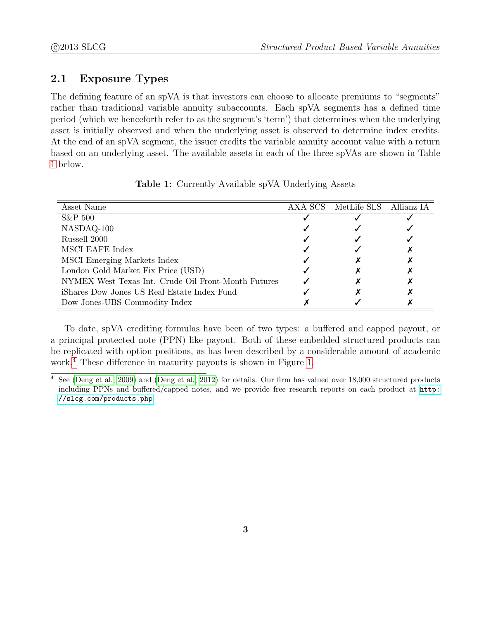### 2.1 Exposure Types

The defining feature of an spVA is that investors can choose to allocate premiums to "segments" rather than traditional variable annuity subaccounts. Each spVA segments has a defined time period (which we henceforth refer to as the segment's 'term') that determines when the underlying asset is initially observed and when the underlying asset is observed to determine index credits. At the end of an spVA segment, the issuer credits the variable annuity account value with a return based on an underlying asset. The available assets in each of the three spVAs are shown in Table [1](#page-2-0) below.

<span id="page-2-0"></span>

| Asset Name                                          | AXA SCS MetLife SLS Allianz IA |  |
|-----------------------------------------------------|--------------------------------|--|
| $S\&P 500$                                          |                                |  |
| NASDAQ-100                                          |                                |  |
| Russell 2000                                        |                                |  |
| <b>MSCI EAFE Index</b>                              |                                |  |
| MSCI Emerging Markets Index                         |                                |  |
| London Gold Market Fix Price (USD)                  |                                |  |
| NYMEX West Texas Int. Crude Oil Front-Month Futures |                                |  |
| iShares Dow Jones US Real Estate Index Fund         |                                |  |
| Dow Jones-UBS Commodity Index                       |                                |  |

Table 1: Currently Available spVA Underlying Assets

To date, spVA crediting formulas have been of two types: a buffered and capped payout, or a principal protected note (PPN) like payout. Both of these embedded structured products can be replicated with option positions, as has been described by a considerable amount of academic work.[4](#page-0-0) These difference in maturity payouts is shown in Figure [1.](#page-3-0)

 $\frac{4}{4}$  See [\(Deng et al., 2009\)](#page-19-0) and [\(Deng et al., 2012\)](#page-19-1) for details. Our firm has valued over 18,000 structured products including PPNs and buffered/capped notes, and we provide free research reports on each product at [http:](http://slcg.com/products.php) [//slcg.com/products.php](http://slcg.com/products.php)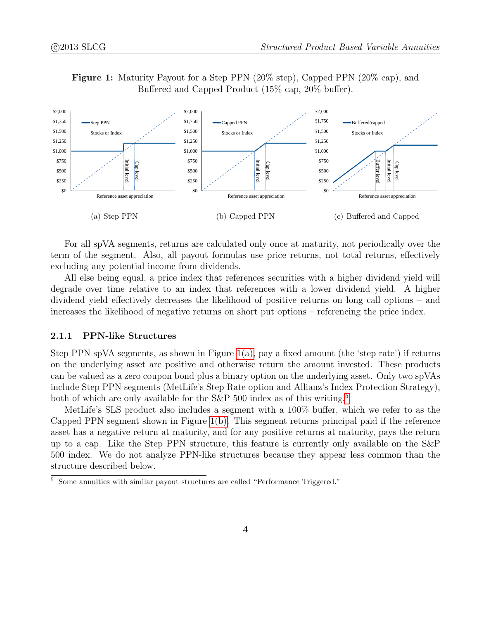Figure 1: Maturity Payout for a Step PPN (20% step), Capped PPN (20% cap), and Buffered and Capped Product (15% cap, 20% buffer).



<span id="page-3-2"></span><span id="page-3-1"></span><span id="page-3-0"></span>For all spVA segments, returns are calculated only once at maturity, not periodically over the term of the segment. Also, all payout formulas use price returns, not total returns, effectively excluding any potential income from dividends.

All else being equal, a price index that references securities with a higher dividend yield will degrade over time relative to an index that references with a lower dividend yield. A higher dividend yield effectively decreases the likelihood of positive returns on long call options – and increases the likelihood of negative returns on short put options – referencing the price index.

#### 2.1.1 PPN-like Structures

Step PPN spVA segments, as shown in Figure  $1(a)$ , pay a fixed amount (the 'step rate') if returns on the underlying asset are positive and otherwise return the amount invested. These products can be valued as a zero coupon bond plus a binary option on the underlying asset. Only two spVAs include Step PPN segments (MetLife's Step Rate option and Allianz's Index Protection Strategy), both of which are only available for the  $S\&P$  [5](#page-0-0)00 index as of this writing.<sup>5</sup>

MetLife's SLS product also includes a segment with a 100% buffer, which we refer to as the Capped PPN segment shown in Figure [1\(b\).](#page-3-2) This segment returns principal paid if the reference asset has a negative return at maturity, and for any positive returns at maturity, pays the return up to a cap. Like the Step PPN structure, this feature is currently only available on the S&P 500 index. We do not analyze PPN-like structures because they appear less common than the structure described below.

<sup>&</sup>lt;sup>5</sup> Some annuities with similar payout structures are called "Performance Triggered."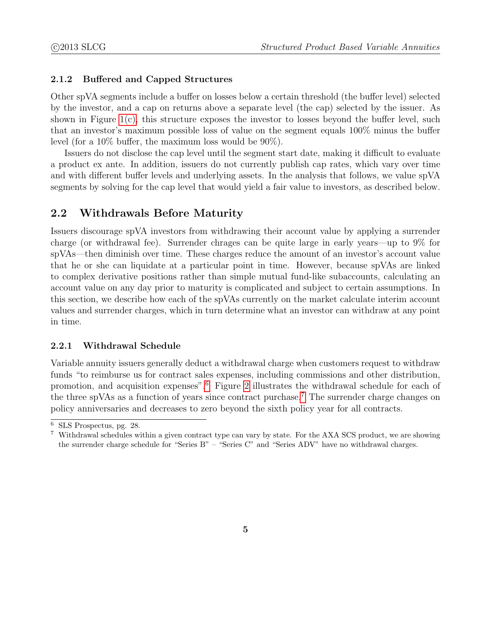#### 2.1.2 Buffered and Capped Structures

Other spVA segments include a buffer on losses below a certain threshold (the buffer level) selected by the investor, and a cap on returns above a separate level (the cap) selected by the issuer. As shown in Figure  $1(c)$ , this structure exposes the investor to losses beyond the buffer level, such that an investor's maximum possible loss of value on the segment equals 100% minus the buffer level (for a 10% buffer, the maximum loss would be 90%).

Issuers do not disclose the cap level until the segment start date, making it difficult to evaluate a product ex ante. In addition, issuers do not currently publish cap rates, which vary over time and with different buffer levels and underlying assets. In the analysis that follows, we value spVA segments by solving for the cap level that would yield a fair value to investors, as described below.

### 2.2 Withdrawals Before Maturity

Issuers discourage spVA investors from withdrawing their account value by applying a surrender charge (or withdrawal fee). Surrender chrages can be quite large in early years—up to 9% for spVAs—then diminish over time. These charges reduce the amount of an investor's account value that he or she can liquidate at a particular point in time. However, because spVAs are linked to complex derivative positions rather than simple mutual fund-like subaccounts, calculating an account value on any day prior to maturity is complicated and subject to certain assumptions. In this section, we describe how each of the spVAs currently on the market calculate interim account values and surrender charges, which in turn determine what an investor can withdraw at any point in time.

#### 2.2.1 Withdrawal Schedule

Variable annuity issuers generally deduct a withdrawal charge when customers request to withdraw funds "to reimburse us for contract sales expenses, including commissions and other distribution, promotion, and acquisition expenses".[6](#page-0-0) Figure [2](#page-5-0) illustrates the withdrawal schedule for each of the three spVAs as a function of years since contract purchase.[7](#page-0-0) The surrender charge changes on policy anniversaries and decreases to zero beyond the sixth policy year for all contracts.

<sup>6</sup> SLS Prospectus, pg. 28.

<sup>7</sup> Withdrawal schedules within a given contract type can vary by state. For the AXA SCS product, we are showing the surrender charge schedule for "Series B" – "Series C" and "Series ADV" have no withdrawal charges.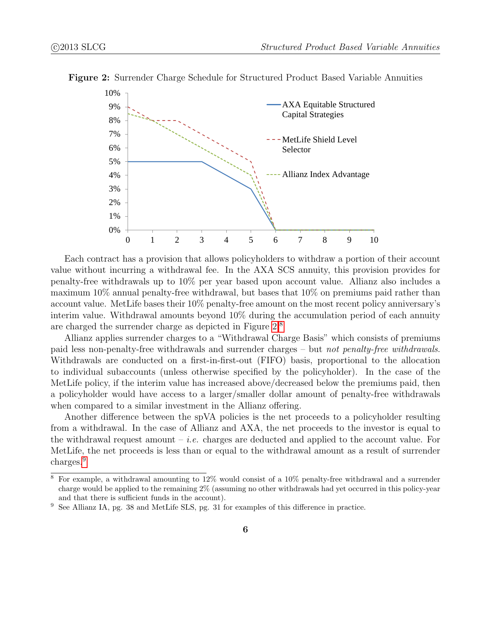

<span id="page-5-0"></span>Figure 2: Surrender Charge Schedule for Structured Product Based Variable Annuities

Each contract has a provision that allows policyholders to withdraw a portion of their account value without incurring a withdrawal fee. In the AXA SCS annuity, this provision provides for penalty-free withdrawals up to 10% per year based upon account value. Allianz also includes a maximum 10% annual penalty-free withdrawal, but bases that 10% on premiums paid rather than account value. MetLife bases their 10% penalty-free amount on the most recent policy anniversary's interim value. Withdrawal amounts beyond 10% during the accumulation period of each annuity are charged the surrender charge as depicted in Figure [2.](#page-5-0)[8](#page-0-0)

Allianz applies surrender charges to a "Withdrawal Charge Basis" which consists of premiums paid less non-penalty-free withdrawals and surrender charges – but not penalty-free withdrawals. Withdrawals are conducted on a first-in-first-out (FIFO) basis, proportional to the allocation to individual subaccounts (unless otherwise specified by the policyholder). In the case of the MetLife policy, if the interim value has increased above/decreased below the premiums paid, then a policyholder would have access to a larger/smaller dollar amount of penalty-free withdrawals when compared to a similar investment in the Allianz offering.

Another difference between the spVA policies is the net proceeds to a policyholder resulting from a withdrawal. In the case of Allianz and AXA, the net proceeds to the investor is equal to the withdrawal request amount  $-i.e.$  charges are deducted and applied to the account value. For MetLife, the net proceeds is less than or equal to the withdrawal amount as a result of surrender charges.<sup>[9](#page-0-0)</sup>

<sup>8</sup> For example, a withdrawal amounting to 12% would consist of a 10% penalty-free withdrawal and a surrender charge would be applied to the remaining 2% (assuming no other withdrawals had yet occurred in this policy-year and that there is sufficient funds in the account).

<sup>9</sup> See Allianz IA, pg. 38 and MetLife SLS, pg. 31 for examples of this difference in practice.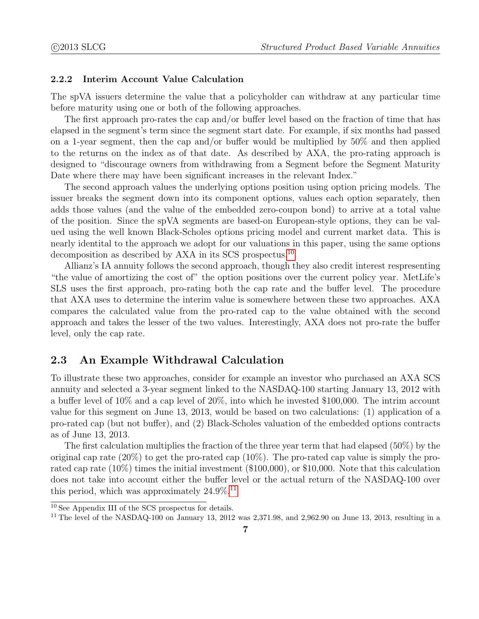#### 2.2.2 Interim Account Value Calculation

The spVA issuers determine the value that a policyholder can withdraw at any particular time before maturity using one or both of the following approaches.

The first approach pro-rates the cap and/or buffer level based on the fraction of time that has elapsed in the segment's term since the segment start date. For example, if six months had passed on a 1-year segment, then the cap and/or buffer would be multiplied by 50% and then applied to the returns on the index as of that date. As described by AXA, the pro-rating approach is designed to "discourage owners from withdrawing from a Segment before the Segment Maturity Date where there may have been significant increases in the relevant Index."

The second approach values the underlying options position using option pricing models. The issuer breaks the segment down into its component options, values each option separately, then adds those values (and the value of the embedded zero-coupon bond) to arrive at a total value of the position. Since the spVA segments are based-on European-style options, they can be valued using the well known Black-Scholes options pricing model and current market data. This is nearly identital to the approach we adopt for our valuations in this paper, using the same options decomposition as described by AXA in its SCS prospectus.<sup>[10](#page-0-0)</sup>

Allianz's IA annuity follows the second approach, though they also credit interest respresenting "the value of amortizing the cost of" the option positions over the current policy year. MetLife's SLS uses the first approach, pro-rating both the cap rate and the buffer level. The procedure that AXA uses to determine the interim value is somewhere between these two approaches. AXA compares the calculated value from the pro-rated cap to the value obtained with the second approach and takes the lesser of the two values. Interestingly, AXA does not pro-rate the buffer level, only the cap rate.

### 2.3 An Example Withdrawal Calculation

To illustrate these two approaches, consider for example an investor who purchased an AXA SCS annuity and selected a 3-year segment linked to the NASDAQ-100 starting January 13, 2012 with a buffer level of 10% and a cap level of 20%, into which he invested \$100,000. The intrim account value for this segment on June 13, 2013, would be based on two calculations: (1) application of a pro-rated cap (but not buffer), and (2) Black-Scholes valuation of the embedded options contracts as of June 13, 2013.

The first calculation multiplies the fraction of the three year term that had elapsed (50%) by the original cap rate  $(20\%)$  to get the pro-rated cap  $(10\%)$ . The pro-rated cap value is simply the prorated cap rate (10%) times the initial investment (\$100,000), or \$10,000. Note that this calculation does not take into account either the buffer level or the actual return of the NASDAQ-100 over this period, which was approximately  $24.9\%$ <sup>[11](#page-0-0)</sup>

 $\frac{10}{10}$  See Appendix III of the SCS prospectus for details.

<sup>&</sup>lt;sup>11</sup> The level of the NASDAQ-100 on January 13, 2012 was 2,371.98, and 2,962.90 on June 13, 2013, resulting in a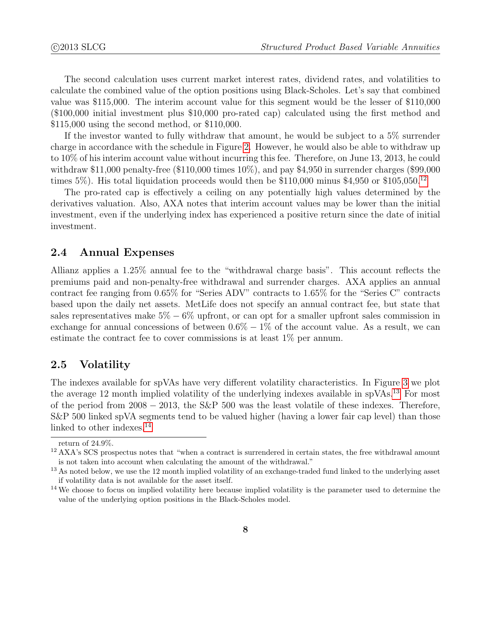The second calculation uses current market interest rates, dividend rates, and volatilities to calculate the combined value of the option positions using Black-Scholes. Let's say that combined value was \$115,000. The interim account value for this segment would be the lesser of \$110,000 (\$100,000 initial investment plus \$10,000 pro-rated cap) calculated using the first method and \$115,000 using the second method, or \$110,000.

If the investor wanted to fully withdraw that amount, he would be subject to a 5% surrender charge in accordance with the schedule in Figure [2.](#page-5-0) However, he would also be able to withdraw up to 10% of his interim account value without incurring this fee. Therefore, on June 13, 2013, he could withdraw  $$11,000$  penalty-free  $(\$110,000$  times  $10\%)$ , and pay  $\$4,950$  in surrender charges (\$99,000 times 5%). His total liquidation proceeds would then be \$110,000 minus \$4,950 or \$105,050.<sup>[12](#page-0-0)</sup>

The pro-rated cap is effectively a ceiling on any potentially high values determined by the derivatives valuation. Also, AXA notes that interim account values may be lower than the initial investment, even if the underlying index has experienced a positive return since the date of initial investment.

#### 2.4 Annual Expenses

Allianz applies a 1.25% annual fee to the "withdrawal charge basis". This account reflects the premiums paid and non-penalty-free withdrawal and surrender charges. AXA applies an annual contract fee ranging from 0.65% for "Series ADV" contracts to 1.65% for the "Series C" contracts based upon the daily net assets. MetLife does not specify an annual contract fee, but state that sales representatives make  $5\% - 6\%$  upfront, or can opt for a smaller upfront sales commission in exchange for annual concessions of between  $0.6\% - 1\%$  of the account value. As a result, we can estimate the contract fee to cover commissions is at least 1% per annum.

### 2.5 Volatility

The indexes available for spVAs have very different volatility characteristics. In Figure [3](#page-8-0) we plot the average 12 month implied volatility of the underlying indexes available in spVAs.<sup>[13](#page-0-0)</sup> For most of the period from  $2008 - 2013$ , the S&P 500 was the least volatile of these indexes. Therefore, S&P 500 linked spVA segments tend to be valued higher (having a lower fair cap level) than those linked to other indexes.<sup>[14](#page-0-0)</sup>

return of 24.9%.

 $12$  AXA's SCS prospectus notes that "when a contract is surrendered in certain states, the free withdrawal amount is not taken into account when calculating the amount of the withdrawal."

<sup>&</sup>lt;sup>13</sup> As noted below, we use the 12 month implied volatility of an exchange-traded fund linked to the underlying asset if volatility data is not available for the asset itself.

<sup>&</sup>lt;sup>14</sup> We choose to focus on implied volatility here because implied volatility is the parameter used to determine the value of the underlying option positions in the Black-Scholes model.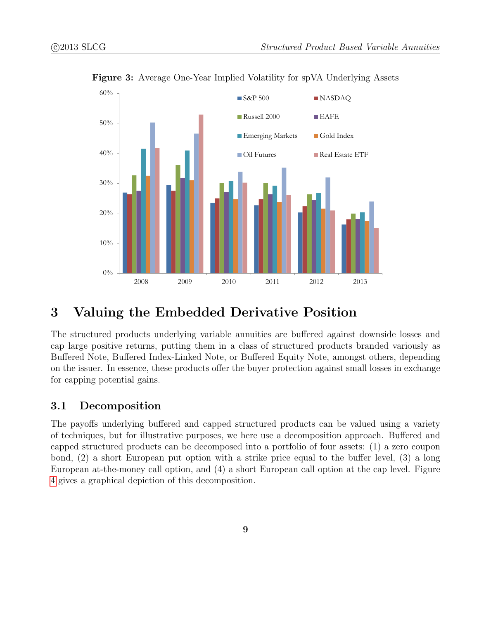

<span id="page-8-0"></span>Figure 3: Average One-Year Implied Volatility for spVA Underlying Assets

# 3 Valuing the Embedded Derivative Position

The structured products underlying variable annuities are buffered against downside losses and cap large positive returns, putting them in a class of structured products branded variously as Buffered Note, Buffered Index-Linked Note, or Buffered Equity Note, amongst others, depending on the issuer. In essence, these products offer the buyer protection against small losses in exchange for capping potential gains.

### 3.1 Decomposition

The payoffs underlying buffered and capped structured products can be valued using a variety of techniques, but for illustrative purposes, we here use a decomposition approach. Buffered and capped structured products can be decomposed into a portfolio of four assets: (1) a zero coupon bond, (2) a short European put option with a strike price equal to the buffer level, (3) a long European at-the-money call option, and (4) a short European call option at the cap level. Figure [4](#page-9-0) gives a graphical depiction of this decomposition.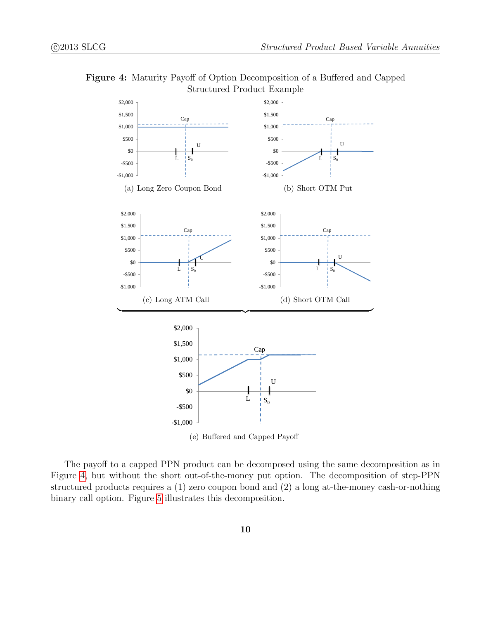



<span id="page-9-0"></span>The payoff to a capped PPN product can be decomposed using the same decomposition as in Figure [4,](#page-9-0) but without the short out-of-the-money put option. The decomposition of step-PPN structured products requires a (1) zero coupon bond and (2) a long at-the-money cash-or-nothing binary call option. Figure [5](#page-10-0) illustrates this decomposition.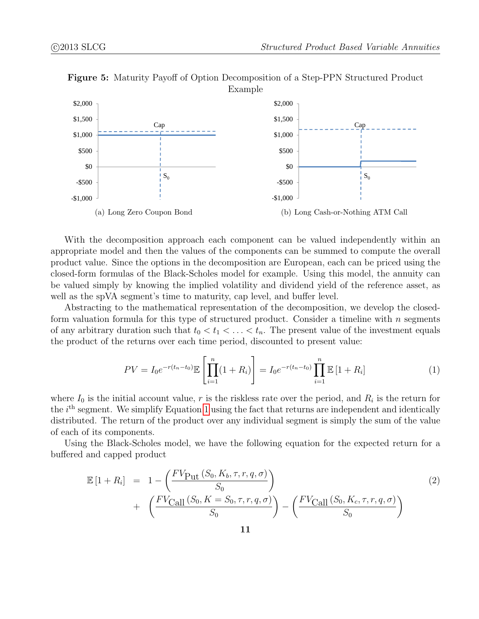

Figure 5: Maturity Payoff of Option Decomposition of a Step-PPN Structured Product

With the decomposition approach each component can be valued independently within an appropriate model and then the values of the components can be summed to compute the overall product value. Since the options in the decomposition are European, each can be priced using the closed-form formulas of the Black-Scholes model for example. Using this model, the annuity can be valued simply by knowing the implied volatility and dividend yield of the reference asset, as well as the spVA segment's time to maturity, cap level, and buffer level.

Abstracting to the mathematical representation of the decomposition, we develop the closedform valuation formula for this type of structured product. Consider a timeline with  $n$  segments of any arbitrary duration such that  $t_0 < t_1 < \ldots < t_n$ . The present value of the investment equals the product of the returns over each time period, discounted to present value:

<span id="page-10-1"></span><span id="page-10-0"></span>
$$
PV = I_0 e^{-r(t_n - t_0)} \mathbb{E} \left[ \prod_{i=1}^n (1 + R_i) \right] = I_0 e^{-r(t_n - t_0)} \prod_{i=1}^n \mathbb{E} \left[ 1 + R_i \right]
$$
 (1)

where  $I_0$  is the initial account value, r is the riskless rate over the period, and  $R_i$  is the return for the *i*<sup>th</sup> segment. We simplify Equation [1](#page-10-1) using the fact that returns are independent and identically distributed. The return of the product over any individual segment is simply the sum of the value of each of its components.

Using the Black-Scholes model, we have the following equation for the expected return for a buffered and capped product

$$
\mathbb{E}\left[1+R_i\right] = 1 - \left(\frac{FV_{\text{Put}}\left(S_0, K_b, \tau, r, q, \sigma\right)}{S_0}\right) + \left(\frac{FV_{\text{Call}}\left(S_0, K = S_0, \tau, r, q, \sigma\right)}{S_0}\right) - \left(\frac{FV_{\text{Call}}\left(S_0, K_c, \tau, r, q, \sigma\right)}{S_0}\right)
$$
\n(2)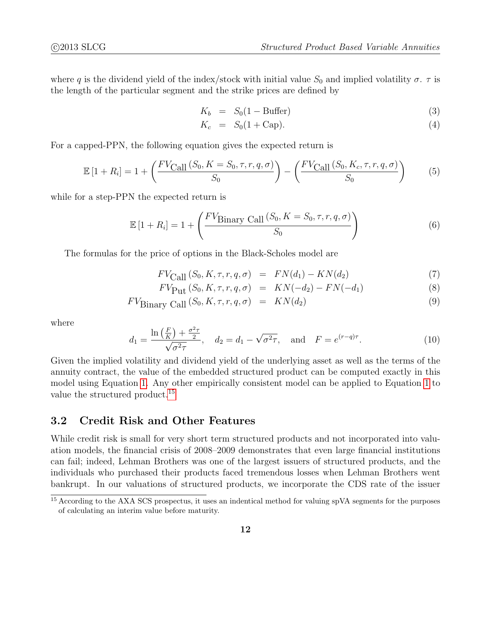where q is the dividend yield of the index/stock with initial value  $S_0$  and implied volatility  $\sigma$ .  $\tau$  is the length of the particular segment and the strike prices are defined by

$$
K_b = S_0(1 - \text{Buffer}) \tag{3}
$$

$$
K_c = S_0(1 + \text{Cap}). \tag{4}
$$

For a capped-PPN, the following equation gives the expected return is

$$
\mathbb{E}\left[1+R_i\right] = 1 + \left(\frac{FV_{\text{Call}}\left(S_0, K = S_0, \tau, r, q, \sigma\right)}{S_0}\right) - \left(\frac{FV_{\text{Call}}\left(S_0, K_c, \tau, r, q, \sigma\right)}{S_0}\right) \tag{5}
$$

while for a step-PPN the expected return is

$$
\mathbb{E}\left[1 + R_i\right] = 1 + \left(\frac{FV_{\text{Binary Call}}\left(S_0, K = S_0, \tau, r, q, \sigma\right)}{S_0}\right) \tag{6}
$$

The formulas for the price of options in the Black-Scholes model are

$$
FV_{\text{Call}}(S_0, K, \tau, r, q, \sigma) = FN(d_1) - KN(d_2) \tag{7}
$$

$$
FV_{\text{Put}}(S_0, K, \tau, r, q, \sigma) = KN(-d_2) - FN(-d_1)
$$
\n(8)

$$
FV_{\text{Binary Call}}(S_0, K, \tau, r, q, \sigma) = KN(d_2)
$$
\n(9)

where

$$
d_1 = \frac{\ln\left(\frac{F}{K}\right) + \frac{\sigma^2 \tau}{2}}{\sqrt{\sigma^2 \tau}}, \quad d_2 = d_1 - \sqrt{\sigma^2 \tau}, \quad \text{and} \quad F = e^{(r-q)\tau}.
$$
 (10)

Given the implied volatility and dividend yield of the underlying asset as well as the terms of the annuity contract, the value of the embedded structured product can be computed exactly in this model using Equation [1.](#page-10-1) Any other empirically consistent model can be applied to Equation [1](#page-10-1) to value the structured product.<sup>[15](#page-0-0)</sup>

### 3.2 Credit Risk and Other Features

While credit risk is small for very short term structured products and not incorporated into valuation models, the financial crisis of 2008–2009 demonstrates that even large financial institutions can fail; indeed, Lehman Brothers was one of the largest issuers of structured products, and the individuals who purchased their products faced tremendous losses when Lehman Brothers went bankrupt. In our valuations of structured products, we incorporate the CDS rate of the issuer

<sup>&</sup>lt;sup>15</sup> According to the AXA SCS prospectus, it uses an indentical method for valuing spVA segments for the purposes of calculating an interim value before maturity.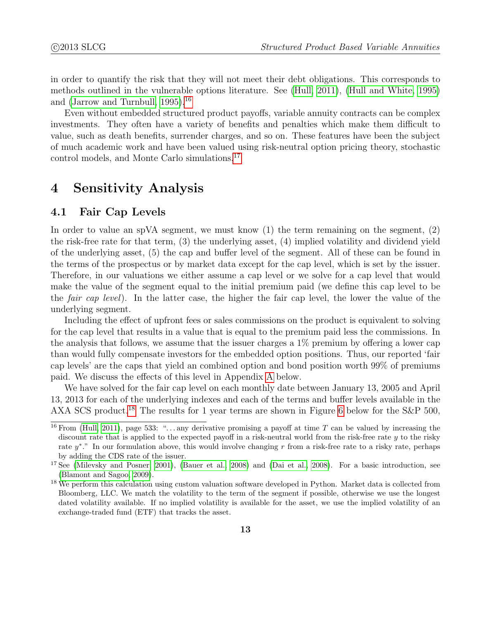in order to quantify the risk that they will not meet their debt obligations. This corresponds to methods outlined in the vulnerable options literature. See [\(Hull, 2011\)](#page-19-2), [\(Hull and White, 1995\)](#page-19-3) and (Jarrow and Turnbull,  $1995$ ).<sup>[16](#page-0-0)</sup>

Even without embedded structured product payoffs, variable annuity contracts can be complex investments. They often have a variety of benefits and penalties which make them difficult to value, such as death benefits, surrender charges, and so on. These features have been the subject of much academic work and have been valued using risk-neutral option pricing theory, stochastic control models, and Monte Carlo simulations.[17](#page-0-0)

## <span id="page-12-0"></span>4 Sensitivity Analysis

### 4.1 Fair Cap Levels

In order to value an spVA segment, we must know  $(1)$  the term remaining on the segment,  $(2)$ the risk-free rate for that term, (3) the underlying asset, (4) implied volatility and dividend yield of the underlying asset, (5) the cap and buffer level of the segment. All of these can be found in the terms of the prospectus or by market data except for the cap level, which is set by the issuer. Therefore, in our valuations we either assume a cap level or we solve for a cap level that would make the value of the segment equal to the initial premium paid (we define this cap level to be the fair cap level). In the latter case, the higher the fair cap level, the lower the value of the underlying segment.

Including the effect of upfront fees or sales commissions on the product is equivalent to solving for the cap level that results in a value that is equal to the premium paid less the commissions. In the analysis that follows, we assume that the issuer charges a  $1\%$  premium by offering a lower cap than would fully compensate investors for the embedded option positions. Thus, our reported 'fair cap levels' are the caps that yield an combined option and bond position worth 99% of premiums paid. We discuss the effects of this level in Appendix [A](#page-19-5) below.

We have solved for the fair cap level on each monthly date between January 13, 2005 and April 13, 2013 for each of the underlying indexes and each of the terms and buffer levels available in the AXA SCS product.<sup>[18](#page-0-0)</sup> The results for 1 year terms are shown in Figure [6](#page-13-0) below for the S&P 500,

<sup>&</sup>lt;sup>16</sup> From [\(Hull, 2011\)](#page-19-2), page 533: "... any derivative promising a payoff at time T can be valued by increasing the discount rate that is applied to the expected payoff in a risk-neutral world from the risk-free rate  $y$  to the risky rate  $y^*$ ." In our formulation above, this would involve changing r from a risk-free rate to a risky rate, perhaps by adding the CDS rate of the issuer.

<sup>&</sup>lt;sup>17</sup> See [\(Milevsky and Posner, 2001\)](#page-19-6), [\(Bauer et al., 2008\)](#page-18-0) and [\(Dai et al., 2008\)](#page-19-7). For a basic introduction, see [\(Blamont and Sagoo, 2009\)](#page-19-8).

<sup>&</sup>lt;sup>18</sup> We perform this calculation using custom valuation software developed in Python. Market data is collected from Bloomberg, LLC. We match the volatility to the term of the segment if possible, otherwise we use the longest dated volatility available. If no implied volatility is available for the asset, we use the implied volatility of an exchange-traded fund (ETF) that tracks the asset.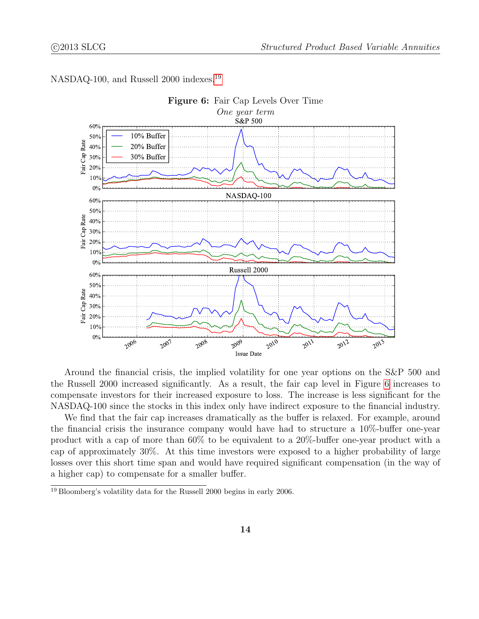

<span id="page-13-0"></span>NASDAQ-100, and Russell 2000 indexes.<sup>[19](#page-0-0)</sup>

Around the financial crisis, the implied volatility for one year options on the S&P 500 and the Russell 2000 increased significantly. As a result, the fair cap level in Figure [6](#page-13-0) increases to compensate investors for their increased exposure to loss. The increase is less significant for the NASDAQ-100 since the stocks in this index only have indirect exposure to the financial industry.

We find that the fair cap increases dramatically as the buffer is relaxed. For example, around the financial crisis the insurance company would have had to structure a 10%-buffer one-year product with a cap of more than 60% to be equivalent to a 20%-buffer one-year product with a cap of approximately 30%. At this time investors were exposed to a higher probability of large losses over this short time span and would have required significant compensation (in the way of a higher cap) to compensate for a smaller buffer.

<sup>19</sup> Bloomberg's volatility data for the Russell 2000 begins in early 2006.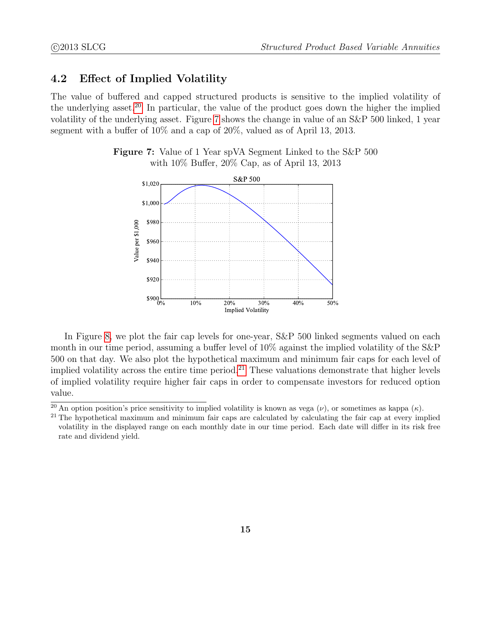### 4.2 Effect of Implied Volatility

<span id="page-14-0"></span>The value of buffered and capped structured products is sensitive to the implied volatility of the underlying asset.<sup>[20](#page-0-0)</sup> In particular, the value of the product goes down the higher the implied volatility of the underlying asset. Figure [7](#page-14-0) shows the change in value of an S&P 500 linked, 1 year segment with a buffer of 10% and a cap of 20%, valued as of April 13, 2013.



Figure 7: Value of 1 Year spVA Segment Linked to the S&P 500 with 10% Buffer, 20% Cap, as of April 13, 2013

In Figure [8,](#page-15-0) we plot the fair cap levels for one-year, S&P 500 linked segments valued on each month in our time period, assuming a buffer level of 10% against the implied volatility of the S&P 500 on that day. We also plot the hypothetical maximum and minimum fair caps for each level of implied volatility across the entire time period.<sup>[21](#page-0-0)</sup> These valuations demonstrate that higher levels of implied volatility require higher fair caps in order to compensate investors for reduced option value.

<sup>&</sup>lt;sup>20</sup> An option position's price sensitivity to implied volatility is known as vega  $(\nu)$ , or sometimes as kappa  $(\kappa)$ .

<sup>&</sup>lt;sup>21</sup> The hypothetical maximum and minimum fair caps are calculated by calculating the fair cap at every implied volatility in the displayed range on each monthly date in our time period. Each date will differ in its risk free rate and dividend yield.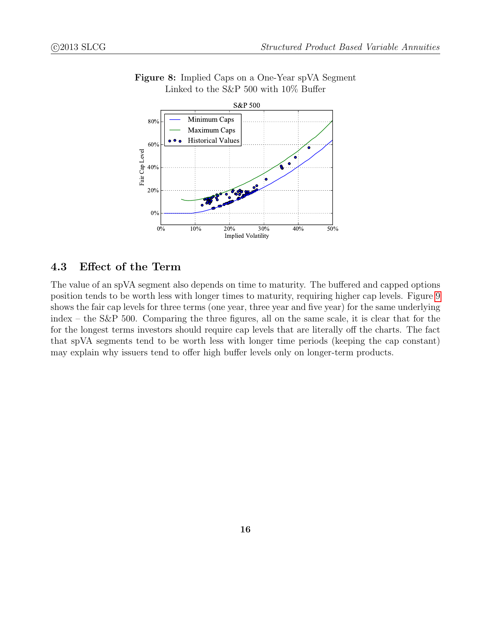

<span id="page-15-0"></span>Figure 8: Implied Caps on a One-Year spVA Segment Linked to the S&P 500 with 10% Buffer

### 4.3 Effect of the Term

The value of an spVA segment also depends on time to maturity. The buffered and capped options position tends to be worth less with longer times to maturity, requiring higher cap levels. Figure [9](#page-16-0) shows the fair cap levels for three terms (one year, three year and five year) for the same underlying index – the S&P 500. Comparing the three figures, all on the same scale, it is clear that for the for the longest terms investors should require cap levels that are literally off the charts. The fact that spVA segments tend to be worth less with longer time periods (keeping the cap constant) may explain why issuers tend to offer high buffer levels only on longer-term products.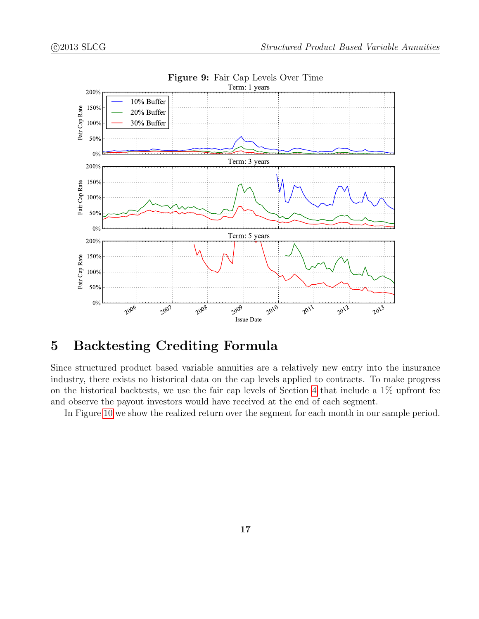<span id="page-16-0"></span>

Figure 9: Fair Cap Levels Over Time

# 5 Backtesting Crediting Formula

Since structured product based variable annuities are a relatively new entry into the insurance industry, there exists no historical data on the cap levels applied to contracts. To make progress on the historical backtests, we use the fair cap levels of Section [4](#page-12-0) that include a 1% upfront fee and observe the payout investors would have received at the end of each segment.

In Figure [10](#page-17-0) we show the realized return over the segment for each month in our sample period.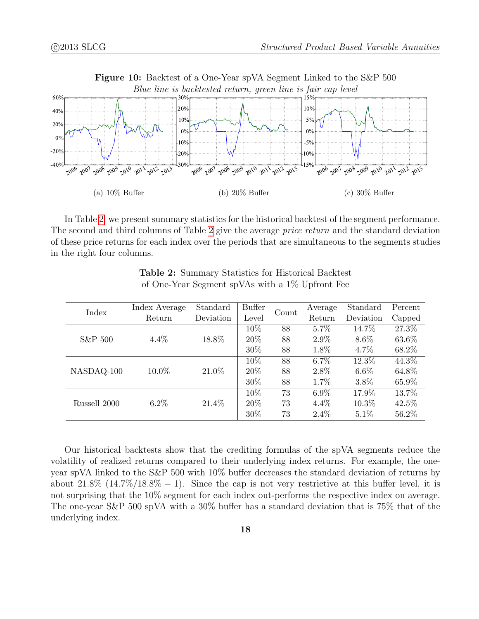

<span id="page-17-2"></span>In Table [2,](#page-17-1) we present summary statistics for the historical backtest of the segment performance. The second and third columns of Table [2](#page-17-1) give the average *price return* and the standard deviation of these price returns for each index over the periods that are simultaneous to the segments studies in the right four columns.

<span id="page-17-1"></span>

| Index        | Index Average | Standard  | <b>Buffer</b> |       | Average | Standard  | Percent |
|--------------|---------------|-----------|---------------|-------|---------|-----------|---------|
|              | Return        | Deviation | Level         | Count | Return  | Deviation | Capped  |
| S&P 500      | 4.4%          | 18.8%     | 10%           | 88    | 5.7%    | 14.7%     | 27.3%   |
|              |               |           | 20%           | 88    | $2.9\%$ | 8.6%      | 63.6%   |
|              |               |           | 30%           | 88    | 1.8%    | $4.7\%$   | 68.2%   |
| NASDAQ-100   | 10.0%         | 21.0%     | 10%           | 88    | $6.7\%$ | 12.3%     | 44.3%   |
|              |               |           | 20%           | 88    | 2.8%    | $6.6\%$   | 64.8%   |
|              |               |           | 30%           | 88    | 1.7%    | 3.8%      | 65.9%   |
| Russell 2000 | $6.2\%$       | 21.4%     | 10%           | 73    | $6.9\%$ | 17.9%     | 13.7%   |
|              |               |           | 20%           | 73    | $4.4\%$ | 10.3%     | 42.5%   |
|              |               |           | 30%           | 73    | $2.4\%$ | $5.1\%$   | 56.2%   |

<span id="page-17-0"></span>Table 2: Summary Statistics for Historical Backtest of One-Year Segment spVAs with a 1% Upfront Fee

Our historical backtests show that the crediting formulas of the spVA segments reduce the volatility of realized returns compared to their underlying index returns. For example, the oneyear spVA linked to the S&P 500 with 10% buffer decreases the standard deviation of returns by about  $21.8\%$  (14.7%/18.8% – 1). Since the cap is not very restrictive at this buffer level, it is not surprising that the 10% segment for each index out-performs the respective index on average. The one-year S&P 500 spVA with a 30% buffer has a standard deviation that is 75% that of the underlying index.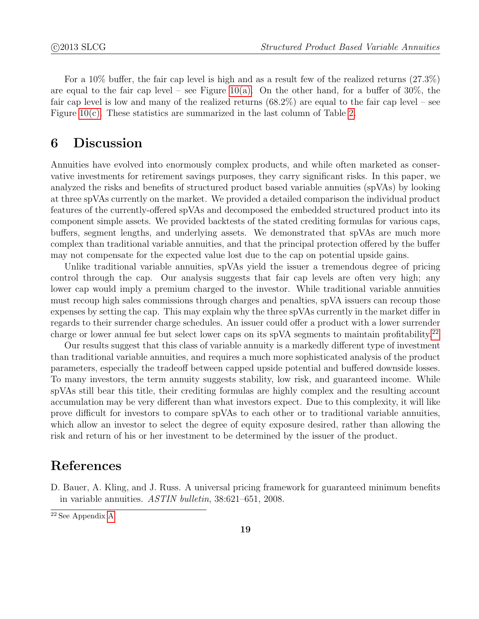For a 10% buffer, the fair cap level is high and as a result few of the realized returns (27.3%) are equal to the fair cap level – see Figure [10\(a\).](#page-17-2) On the other hand, for a buffer of  $30\%$ , the fair cap level is low and many of the realized returns (68.2%) are equal to the fair cap level – see Figure [10\(c\).](#page-17-0) These statistics are summarized in the last column of Table [2.](#page-17-1)

# 6 Discussion

Annuities have evolved into enormously complex products, and while often marketed as conservative investments for retirement savings purposes, they carry significant risks. In this paper, we analyzed the risks and benefits of structured product based variable annuities (spVAs) by looking at three spVAs currently on the market. We provided a detailed comparison the individual product features of the currently-offered spVAs and decomposed the embedded structured product into its component simple assets. We provided backtests of the stated crediting formulas for various caps, buffers, segment lengths, and underlying assets. We demonstrated that spVAs are much more complex than traditional variable annuities, and that the principal protection offered by the buffer may not compensate for the expected value lost due to the cap on potential upside gains.

Unlike traditional variable annuities, spVAs yield the issuer a tremendous degree of pricing control through the cap. Our analysis suggests that fair cap levels are often very high; any lower cap would imply a premium charged to the investor. While traditional variable annuities must recoup high sales commissions through charges and penalties, spVA issuers can recoup those expenses by setting the cap. This may explain why the three spVAs currently in the market differ in regards to their surrender charge schedules. An issuer could offer a product with a lower surrender charge or lower annual fee but select lower caps on its spVA segments to maintain profitability.<sup>[22](#page-0-0)</sup>

Our results suggest that this class of variable annuity is a markedly different type of investment than traditional variable annuities, and requires a much more sophisticated analysis of the product parameters, especially the tradeoff between capped upside potential and buffered downside losses. To many investors, the term annuity suggests stability, low risk, and guaranteed income. While spVAs still bear this title, their crediting formulas are highly complex and the resulting account accumulation may be very different than what investors expect. Due to this complexity, it will like prove difficult for investors to compare spVAs to each other or to traditional variable annuities, which allow an investor to select the degree of equity exposure desired, rather than allowing the risk and return of his or her investment to be determined by the issuer of the product.

## References

<span id="page-18-0"></span>D. Bauer, A. Kling, and J. Russ. A universal pricing framework for guaranteed minimum benefits in variable annuities. ASTIN bulletin, 38:621–651, 2008.

<sup>22</sup> See Appendix [A.](#page-19-5)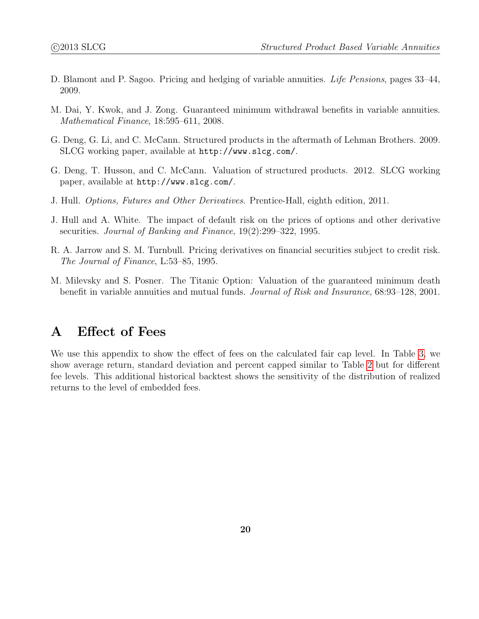- <span id="page-19-8"></span>D. Blamont and P. Sagoo. Pricing and hedging of variable annuities. Life Pensions, pages 33–44, 2009.
- <span id="page-19-7"></span>M. Dai, Y. Kwok, and J. Zong. Guaranteed minimum withdrawal benefits in variable annuities. Mathematical Finance, 18:595–611, 2008.
- <span id="page-19-0"></span>G. Deng, G. Li, and C. McCann. Structured products in the aftermath of Lehman Brothers. 2009. SLCG working paper, available at http://www.slcg.com/.
- <span id="page-19-1"></span>G. Deng, T. Husson, and C. McCann. Valuation of structured products. 2012. SLCG working paper, available at http://www.slcg.com/.
- <span id="page-19-2"></span>J. Hull. Options, Futures and Other Derivatives. Prentice-Hall, eighth edition, 2011.
- <span id="page-19-3"></span>J. Hull and A. White. The impact of default risk on the prices of options and other derivative securities. Journal of Banking and Finance, 19(2):299–322, 1995.
- <span id="page-19-4"></span>R. A. Jarrow and S. M. Turnbull. Pricing derivatives on financial securities subject to credit risk. The Journal of Finance, L:53–85, 1995.
- <span id="page-19-6"></span>M. Milevsky and S. Posner. The Titanic Option: Valuation of the guaranteed minimum death benefit in variable annuities and mutual funds. Journal of Risk and Insurance, 68:93–128, 2001.

# <span id="page-19-5"></span>A Effect of Fees

We use this appendix to show the effect of fees on the calculated fair cap level. In Table [3,](#page-20-0) we show average return, standard deviation and percent capped similar to Table [2](#page-17-1) but for different fee levels. This additional historical backtest shows the sensitivity of the distribution of realized returns to the level of embedded fees.